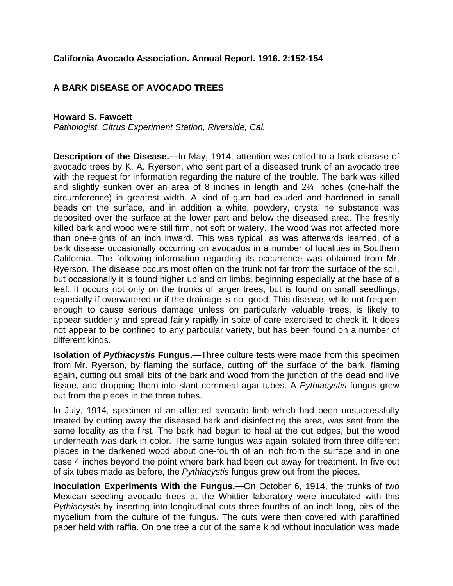## **California Avocado Association. Annual Report. 1916. 2:152-154**

## **A BARK DISEASE OF AVOCADO TREES**

## **Howard S. Fawcett**

*Pathologist, Citrus Experiment Station, Riverside, Cal.* 

**Description of the Disease.—**In May, 1914, attention was called to a bark disease of avocado trees by K. A. Ryerson, who sent part of a diseased trunk of an avocado tree with the request for information regarding the nature of the trouble. The bark was killed and slightly sunken over an area of 8 inches in length and 2¼ inches (one-half the circumference) in greatest width. A kind of gum had exuded and hardened in small beads on the surface, and in addition a white, powdery, crystalline substance was deposited over the surface at the lower part and below the diseased area. The freshly killed bark and wood were still firm, not soft or watery. The wood was not affected more than one-eights of an inch inward. This was typical, as was afterwards learned, of a bark disease occasionally occurring on avocados in a number of localities in Southern California. The following information regarding its occurrence was obtained from Mr. Ryerson. The disease occurs most often on the trunk not far from the surface of the soil, but occasionally it is found higher up and on limbs, beginning especially at the base of a leaf. It occurs not only on the trunks of larger trees, but is found on small seedlings, especially if overwatered or if the drainage is not good. This disease, while not frequent enough to cause serious damage unless on particularly valuable trees, is likely to appear suddenly and spread fairly rapidly in spite of care exercised to check it. It does not appear to be confined to any particular variety, but has been found on a number of different kinds.

**Isolation of** *Pythiacystis* **Fungus.—**Three culture tests were made from this specimen from Mr. Ryerson, by flaming the surface, cutting off the surface of the bark, flaming again, cutting out small bits of the bark and wood from the junction of the dead and live tissue, and dropping them into slant cornmeal agar tubes. A *Pythiacystis* fungus grew out from the pieces in the three tubes.

In July, 1914, specimen of an affected avocado limb which had been unsuccessfully treated by cutting away the diseased bark and disinfecting the area, was sent from the same locality as the first. The bark had begun to heal at the cut edges, but the wood underneath was dark in color. The same fungus was again isolated from three different places in the darkened wood about one-fourth of an inch from the surface and in one case 4 inches beyond the point where bark had been cut away for treatment. In five out of six tubes made as before, the *Pythiacystis* fungus grew out from the pieces.

**Inoculation Experiments With the Fungus.—**On October 6, 1914, the trunks of two Mexican seedling avocado trees at the Whittier laboratory were inoculated with this *Pythiacystis* by inserting into longitudinal cuts three-fourths of an inch long, bits of the mycelium from the culture of the fungus. The cuts were then covered with paraffined paper held with raffia. On one tree a cut of the same kind without inoculation was made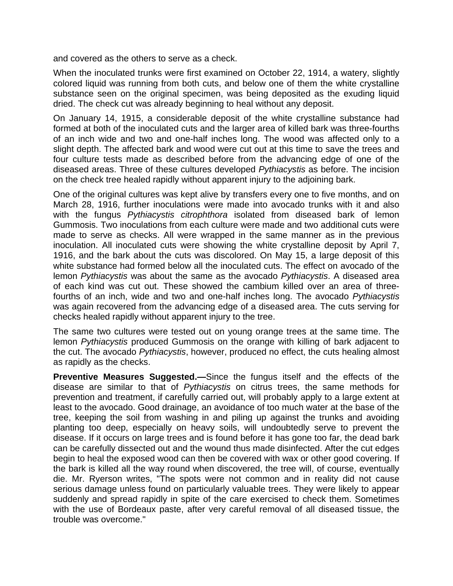and covered as the others to serve as a check.

When the inoculated trunks were first examined on October 22, 1914, a watery, slightly colored liquid was running from both cuts, and below one of them the white crystalline substance seen on the original specimen, was being deposited as the exuding liquid dried. The check cut was already beginning to heal without any deposit.

On January 14, 1915, a considerable deposit of the white crystalline substance had formed at both of the inoculated cuts and the larger area of killed bark was three-fourths of an inch wide and two and one-half inches long. The wood was affected only to a slight depth. The affected bark and wood were cut out at this time to save the trees and four culture tests made as described before from the advancing edge of one of the diseased areas. Three of these cultures developed *Pythiacystis* as before. The incision on the check tree healed rapidly without apparent injury to the adjoining bark.

One of the original cultures was kept alive by transfers every one to five months, and on March 28, 1916, further inoculations were made into avocado trunks with it and also with the fungus *Pythiacystis citrophthora* isolated from diseased bark of lemon Gummosis. Two inoculations from each culture were made and two additional cuts were made to serve as checks. All were wrapped in the same manner as in the previous inoculation. All inoculated cuts were showing the white crystalline deposit by April 7, 1916, and the bark about the cuts was discolored. On May 15, a large deposit of this white substance had formed below all the inoculated cuts. The effect on avocado of the lemon *Pythiacystis* was about the same as the avocado *Pythiacystis*. A diseased area of each kind was cut out. These showed the cambium killed over an area of threefourths of an inch, wide and two and one-half inches long. The avocado *Pythiacystis* was again recovered from the advancing edge of a diseased area. The cuts serving for checks healed rapidly without apparent injury to the tree.

The same two cultures were tested out on young orange trees at the same time. The lemon *Pythiacystis* produced Gummosis on the orange with killing of bark adjacent to the cut. The avocado *Pythiacystis*, however, produced no effect, the cuts healing almost as rapidly as the checks.

**Preventive Measures Suggested.—**Since the fungus itself and the effects of the disease are similar to that of *Pythiacystis* on citrus trees, the same methods for prevention and treatment, if carefully carried out, will probably apply to a large extent at least to the avocado. Good drainage, an avoidance of too much water at the base of the tree, keeping the soil from washing in and piling up against the trunks and avoiding planting too deep, especially on heavy soils, will undoubtedly serve to prevent the disease. If it occurs on large trees and is found before it has gone too far, the dead bark can be carefully dissected out and the wound thus made disinfected. After the cut edges begin to heal the exposed wood can then be covered with wax or other good covering. If the bark is killed all the way round when discovered, the tree will, of course, eventually die. Mr. Ryerson writes, "The spots were not common and in reality did not cause serious damage unless found on particularly valuable trees. They were likely to appear suddenly and spread rapidly in spite of the care exercised to check them. Sometimes with the use of Bordeaux paste, after very careful removal of all diseased tissue, the trouble was overcome."